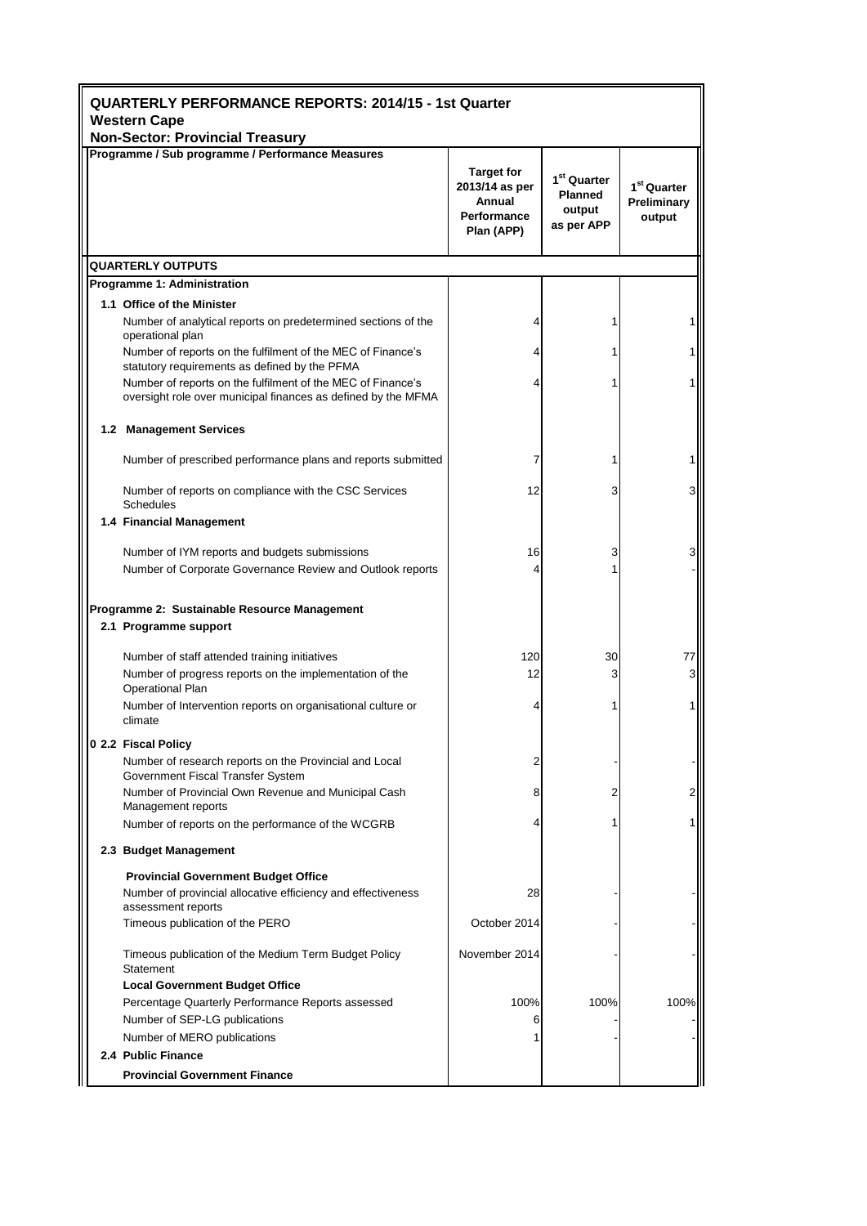| <b>QUARTERLY PERFORMANCE REPORTS: 2014/15 - 1st Quarter</b><br><b>Western Cape</b><br><b>Non-Sector: Provincial Treasury</b>        |                                                                            |                                                                   |                                                  |  |  |
|-------------------------------------------------------------------------------------------------------------------------------------|----------------------------------------------------------------------------|-------------------------------------------------------------------|--------------------------------------------------|--|--|
| Programme / Sub programme / Performance Measures                                                                                    |                                                                            |                                                                   |                                                  |  |  |
|                                                                                                                                     | <b>Target for</b><br>2013/14 as per<br>Annual<br>Performance<br>Plan (APP) | 1 <sup>st</sup> Quarter<br><b>Planned</b><br>output<br>as per APP | 1 <sup>st</sup> Quarter<br>Preliminary<br>output |  |  |
| <b>QUARTERLY OUTPUTS</b>                                                                                                            |                                                                            |                                                                   |                                                  |  |  |
| Programme 1: Administration                                                                                                         |                                                                            |                                                                   |                                                  |  |  |
| 1.1 Office of the Minister                                                                                                          |                                                                            |                                                                   |                                                  |  |  |
| Number of analytical reports on predetermined sections of the<br>operational plan                                                   | 4                                                                          | 1                                                                 |                                                  |  |  |
| Number of reports on the fulfilment of the MEC of Finance's<br>statutory requirements as defined by the PFMA                        | 4                                                                          | 1                                                                 |                                                  |  |  |
| Number of reports on the fulfilment of the MEC of Finance's<br>oversight role over municipal finances as defined by the MFMA        | 4                                                                          |                                                                   |                                                  |  |  |
| 1.2 Management Services                                                                                                             |                                                                            |                                                                   |                                                  |  |  |
| Number of prescribed performance plans and reports submitted                                                                        | 7                                                                          | 1                                                                 |                                                  |  |  |
| Number of reports on compliance with the CSC Services<br><b>Schedules</b>                                                           | 12                                                                         | 3                                                                 | 3                                                |  |  |
| 1.4 Financial Management                                                                                                            |                                                                            |                                                                   |                                                  |  |  |
| Number of IYM reports and budgets submissions                                                                                       | 16                                                                         | 3                                                                 |                                                  |  |  |
| Number of Corporate Governance Review and Outlook reports                                                                           | 4                                                                          |                                                                   |                                                  |  |  |
|                                                                                                                                     |                                                                            |                                                                   |                                                  |  |  |
| Programme 2: Sustainable Resource Management<br>2.1 Programme support                                                               |                                                                            |                                                                   |                                                  |  |  |
|                                                                                                                                     | 120                                                                        |                                                                   |                                                  |  |  |
| Number of staff attended training initiatives<br>Number of progress reports on the implementation of the<br><b>Operational Plan</b> | 12                                                                         | 30<br>3                                                           | 77<br>3                                          |  |  |
| Number of Intervention reports on organisational culture or<br>climate                                                              | 4                                                                          | 1                                                                 |                                                  |  |  |
| 0 2.2 Fiscal Policy                                                                                                                 |                                                                            |                                                                   |                                                  |  |  |
| Number of research reports on the Provincial and Local<br>Government Fiscal Transfer System                                         | 2                                                                          |                                                                   |                                                  |  |  |
| Number of Provincial Own Revenue and Municipal Cash<br>Management reports                                                           | 8                                                                          | 2                                                                 |                                                  |  |  |
| Number of reports on the performance of the WCGRB                                                                                   |                                                                            |                                                                   |                                                  |  |  |
| 2.3 Budget Management                                                                                                               |                                                                            |                                                                   |                                                  |  |  |
| <b>Provincial Government Budget Office</b><br>Number of provincial allocative efficiency and effectiveness                          | 28                                                                         |                                                                   |                                                  |  |  |
| assessment reports<br>Timeous publication of the PERO                                                                               | October 2014                                                               |                                                                   |                                                  |  |  |
| Timeous publication of the Medium Term Budget Policy<br>Statement                                                                   | November 2014                                                              |                                                                   |                                                  |  |  |
| <b>Local Government Budget Office</b>                                                                                               |                                                                            |                                                                   |                                                  |  |  |
| Percentage Quarterly Performance Reports assessed                                                                                   | 100%                                                                       | 100%                                                              | 100%                                             |  |  |
| Number of SEP-LG publications                                                                                                       | 6                                                                          |                                                                   |                                                  |  |  |
| Number of MERO publications<br>2.4 Public Finance                                                                                   |                                                                            |                                                                   |                                                  |  |  |
| <b>Provincial Government Finance</b>                                                                                                |                                                                            |                                                                   |                                                  |  |  |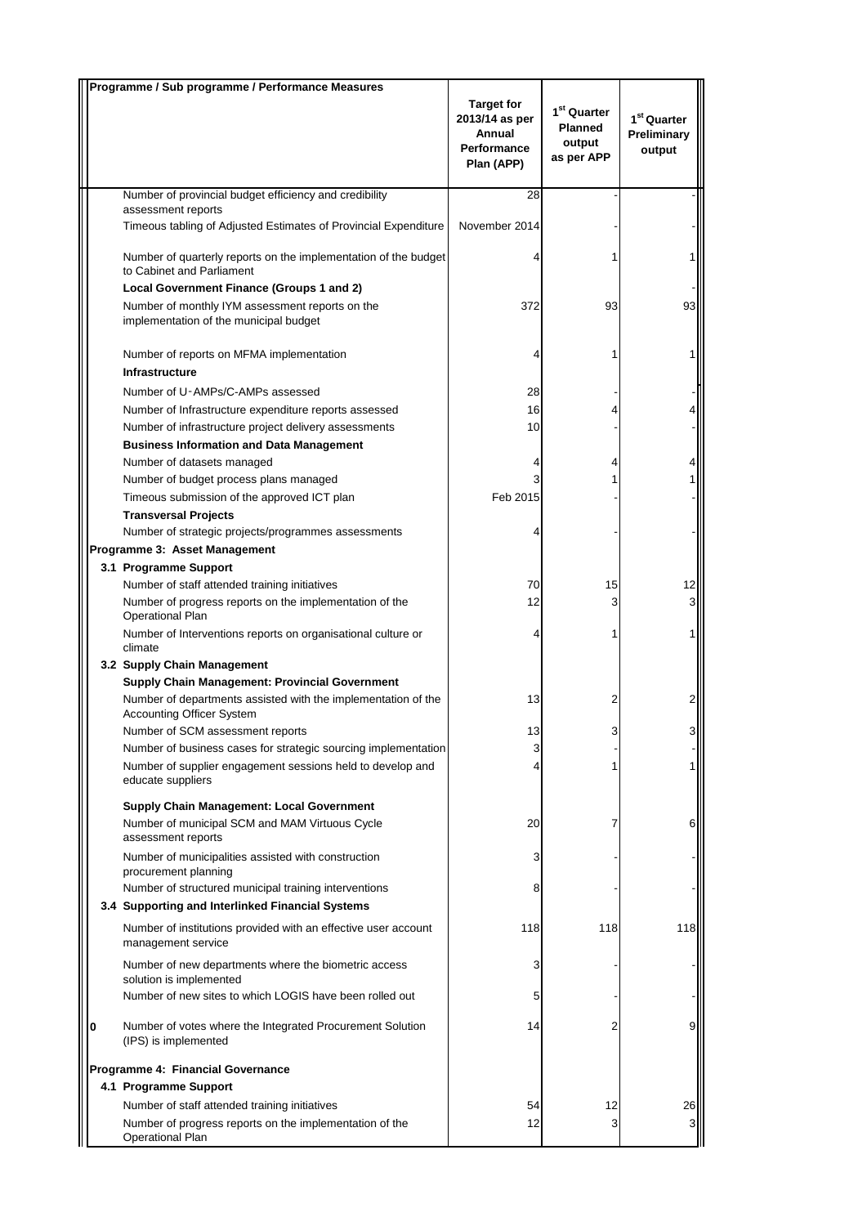|   | Programme / Sub programme / Performance Measures                                                                                                  |                                                                            |                                                                   |                                        |
|---|---------------------------------------------------------------------------------------------------------------------------------------------------|----------------------------------------------------------------------------|-------------------------------------------------------------------|----------------------------------------|
|   |                                                                                                                                                   | <b>Target for</b><br>2013/14 as per<br>Annual<br>Performance<br>Plan (APP) | 1 <sup>st</sup> Quarter<br><b>Planned</b><br>output<br>as per APP | $1st$ Quarter<br>Preliminary<br>output |
|   | Number of provincial budget efficiency and credibility                                                                                            | 28                                                                         |                                                                   |                                        |
|   | assessment reports<br>Timeous tabling of Adjusted Estimates of Provincial Expenditure                                                             | November 2014                                                              |                                                                   |                                        |
|   | Number of quarterly reports on the implementation of the budget<br>to Cabinet and Parliament                                                      |                                                                            |                                                                   |                                        |
|   | Local Government Finance (Groups 1 and 2)                                                                                                         |                                                                            |                                                                   |                                        |
|   | Number of monthly IYM assessment reports on the<br>implementation of the municipal budget                                                         | 372                                                                        | 93                                                                | 93                                     |
|   | Number of reports on MFMA implementation                                                                                                          |                                                                            |                                                                   |                                        |
|   | <b>Infrastructure</b>                                                                                                                             |                                                                            |                                                                   |                                        |
|   | Number of U-AMPs/C-AMPs assessed                                                                                                                  | 28                                                                         |                                                                   |                                        |
|   | Number of Infrastructure expenditure reports assessed                                                                                             | 16                                                                         |                                                                   |                                        |
|   | Number of infrastructure project delivery assessments                                                                                             | 10                                                                         |                                                                   |                                        |
|   | <b>Business Information and Data Management</b>                                                                                                   |                                                                            |                                                                   |                                        |
|   | Number of datasets managed                                                                                                                        |                                                                            | 4                                                                 |                                        |
|   | Number of budget process plans managed                                                                                                            |                                                                            |                                                                   |                                        |
|   | Timeous submission of the approved ICT plan                                                                                                       | Feb 2015                                                                   |                                                                   |                                        |
|   | <b>Transversal Projects</b><br>Number of strategic projects/programmes assessments                                                                |                                                                            |                                                                   |                                        |
|   | Programme 3: Asset Management                                                                                                                     |                                                                            |                                                                   |                                        |
|   | 3.1 Programme Support                                                                                                                             |                                                                            |                                                                   |                                        |
|   | Number of staff attended training initiatives                                                                                                     | 70                                                                         | 15                                                                | 12                                     |
|   | Number of progress reports on the implementation of the<br><b>Operational Plan</b>                                                                | 12                                                                         | 3                                                                 | $\mathbf{3}$                           |
|   | Number of Interventions reports on organisational culture or<br>climate                                                                           |                                                                            | 1                                                                 | 1                                      |
|   | 3.2 Supply Chain Management                                                                                                                       |                                                                            |                                                                   |                                        |
|   | <b>Supply Chain Management: Provincial Government</b>                                                                                             |                                                                            |                                                                   |                                        |
|   | Number of departments assisted with the implementation of the<br><b>Accounting Officer System</b>                                                 | 13                                                                         | 2                                                                 | $\overline{2}$                         |
|   | Number of SCM assessment reports                                                                                                                  | 13<br>3                                                                    |                                                                   |                                        |
|   | Number of business cases for strategic sourcing implementation<br>Number of supplier engagement sessions held to develop and<br>educate suppliers | 4                                                                          |                                                                   | $\mathbf{1}$                           |
|   | <b>Supply Chain Management: Local Government</b><br>Number of municipal SCM and MAM Virtuous Cycle                                                | 20                                                                         | 7                                                                 | 6                                      |
|   | assessment reports<br>Number of municipalities assisted with construction                                                                         | 3                                                                          |                                                                   |                                        |
|   | procurement planning<br>Number of structured municipal training interventions                                                                     | 8                                                                          |                                                                   |                                        |
|   | 3.4 Supporting and Interlinked Financial Systems                                                                                                  |                                                                            |                                                                   |                                        |
|   | Number of institutions provided with an effective user account<br>management service                                                              | 118                                                                        | 118                                                               | 118                                    |
|   | Number of new departments where the biometric access<br>solution is implemented                                                                   | 3                                                                          |                                                                   |                                        |
|   | Number of new sites to which LOGIS have been rolled out                                                                                           | 5                                                                          |                                                                   |                                        |
| 0 | Number of votes where the Integrated Procurement Solution<br>(IPS) is implemented                                                                 | 14                                                                         | 2                                                                 | 9                                      |
|   | Programme 4: Financial Governance                                                                                                                 |                                                                            |                                                                   |                                        |
|   | 4.1 Programme Support                                                                                                                             |                                                                            |                                                                   |                                        |
|   | Number of staff attended training initiatives                                                                                                     | 54                                                                         | 12                                                                | 26                                     |
|   | Number of progress reports on the implementation of the<br><b>Operational Plan</b>                                                                | 12                                                                         | 3                                                                 | 3                                      |